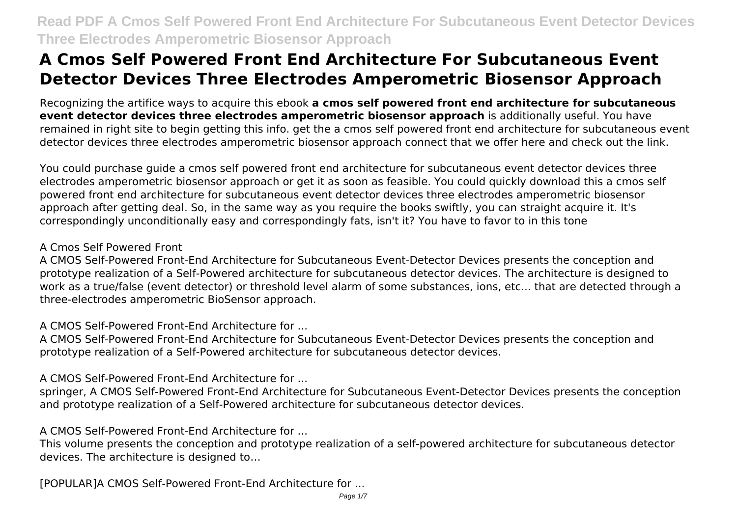Recognizing the artifice ways to acquire this ebook **a cmos self powered front end architecture for subcutaneous event detector devices three electrodes amperometric biosensor approach** is additionally useful. You have remained in right site to begin getting this info. get the a cmos self powered front end architecture for subcutaneous event detector devices three electrodes amperometric biosensor approach connect that we offer here and check out the link.

You could purchase guide a cmos self powered front end architecture for subcutaneous event detector devices three electrodes amperometric biosensor approach or get it as soon as feasible. You could quickly download this a cmos self powered front end architecture for subcutaneous event detector devices three electrodes amperometric biosensor approach after getting deal. So, in the same way as you require the books swiftly, you can straight acquire it. It's correspondingly unconditionally easy and correspondingly fats, isn't it? You have to favor to in this tone

#### A Cmos Self Powered Front

A CMOS Self-Powered Front-End Architecture for Subcutaneous Event-Detector Devices presents the conception and prototype realization of a Self-Powered architecture for subcutaneous detector devices. The architecture is designed to work as a true/false (event detector) or threshold level alarm of some substances, ions, etc... that are detected through a three-electrodes amperometric BioSensor approach.

A CMOS Self-Powered Front-End Architecture for ...

A CMOS Self-Powered Front-End Architecture for Subcutaneous Event-Detector Devices presents the conception and prototype realization of a Self-Powered architecture for subcutaneous detector devices.

A CMOS Self-Powered Front-End Architecture for ...

springer, A CMOS Self-Powered Front-End Architecture for Subcutaneous Event-Detector Devices presents the conception and prototype realization of a Self-Powered architecture for subcutaneous detector devices.

A CMOS Self-Powered Front-End Architecture for ...

This volume presents the conception and prototype realization of a self-powered architecture for subcutaneous detector devices. The architecture is designed to…

[POPULAR]A CMOS Self-Powered Front-End Architecture for ...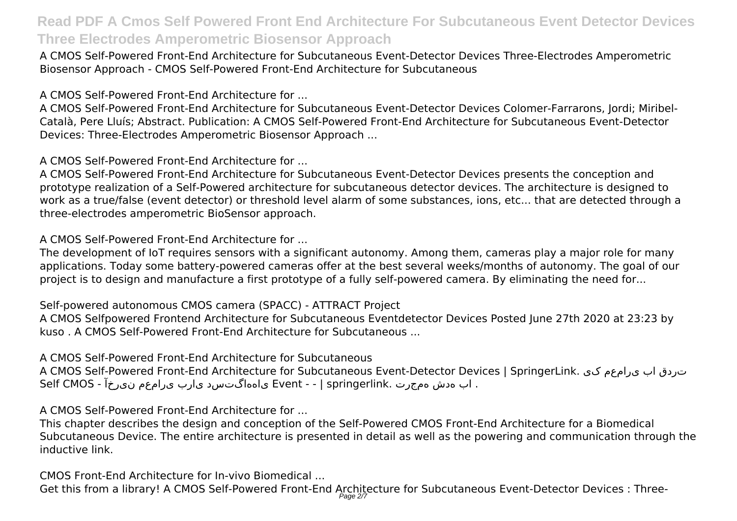A CMOS Self-Powered Front-End Architecture for Subcutaneous Event-Detector Devices Three-Electrodes Amperometric Biosensor Approach - CMOS Self-Powered Front-End Architecture for Subcutaneous

A CMOS Self-Powered Front-End Architecture for ...

A CMOS Self-Powered Front-End Architecture for Subcutaneous Event-Detector Devices Colomer-Farrarons, Jordi; Miribel-Català, Pere Lluís; Abstract. Publication: A CMOS Self-Powered Front-End Architecture for Subcutaneous Event-Detector Devices: Three-Electrodes Amperometric Biosensor Approach ...

A CMOS Self-Powered Front-End Architecture for ...

A CMOS Self-Powered Front-End Architecture for Subcutaneous Event-Detector Devices presents the conception and prototype realization of a Self-Powered architecture for subcutaneous detector devices. The architecture is designed to work as a true/false (event detector) or threshold level alarm of some substances, ions, etc... that are detected through a three-electrodes amperometric BioSensor approach.

A CMOS Self-Powered Front-End Architecture for ...

The development of IoT requires sensors with a significant autonomy. Among them, cameras play a major role for many applications. Today some battery-powered cameras offer at the best several weeks/months of autonomy. The goal of our project is to design and manufacture a first prototype of a fully self-powered camera. By eliminating the need for...

Self-powered autonomous CMOS camera (SPACC) - ATTRACT Project

A CMOS Selfpowered Frontend Architecture for Subcutaneous Eventdetector Devices Posted June 27th 2020 at 23:23 by kuso . A CMOS Self-Powered Front-End Architecture for Subcutaneous ...

A CMOS Self-Powered Front-End Architecture for Subcutaneous

A CMOS Self-Powered Front-End Architecture for Subcutaneous Event-Detector Devices | SpringerLink. کی یرامعم اب تردق . اب هدش همجرت .springerlink | - - Event یاههاگتسد یارب یرامعم نیرخآ - CMOS Self

A CMOS Self-Powered Front-End Architecture for ...

This chapter describes the design and conception of the Self-Powered CMOS Front-End Architecture for a Biomedical Subcutaneous Device. The entire architecture is presented in detail as well as the powering and communication through the inductive link.

CMOS Front-End Architecture for In-vivo Biomedical ... Get this from a library! A CMOS Self-Powered Front-End Architecture for Subcutaneous Event-Detector Devices : Three-Page 2/7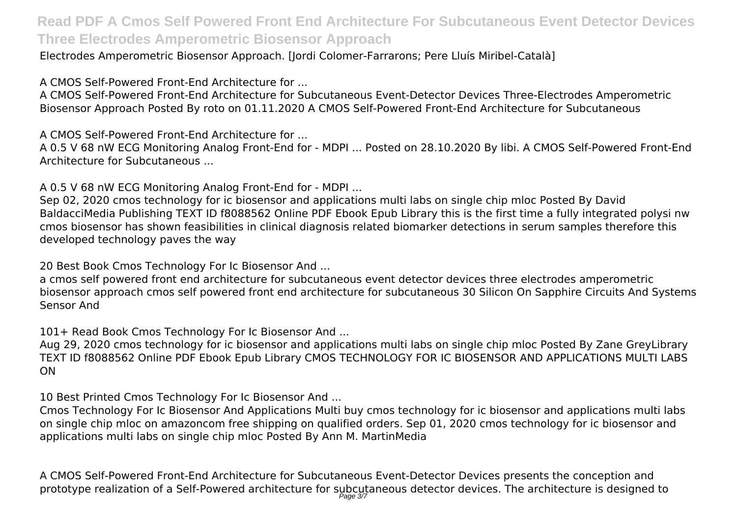Electrodes Amperometric Biosensor Approach. [Jordi Colomer-Farrarons; Pere Lluís Miribel-Català]

A CMOS Self-Powered Front-End Architecture for ...

A CMOS Self-Powered Front-End Architecture for Subcutaneous Event-Detector Devices Three-Electrodes Amperometric Biosensor Approach Posted By roto on 01.11.2020 A CMOS Self-Powered Front-End Architecture for Subcutaneous

A CMOS Self-Powered Front-End Architecture for ...

A 0.5 V 68 nW ECG Monitoring Analog Front-End for - MDPI ... Posted on 28.10.2020 By libi. A CMOS Self-Powered Front-End Architecture for Subcutaneous ...

A 0.5 V 68 nW ECG Monitoring Analog Front-End for - MDPI ...

Sep 02, 2020 cmos technology for ic biosensor and applications multi labs on single chip mloc Posted By David BaldacciMedia Publishing TEXT ID f8088562 Online PDF Ebook Epub Library this is the first time a fully integrated polysi nw cmos biosensor has shown feasibilities in clinical diagnosis related biomarker detections in serum samples therefore this developed technology paves the way

20 Best Book Cmos Technology For Ic Biosensor And ...

a cmos self powered front end architecture for subcutaneous event detector devices three electrodes amperometric biosensor approach cmos self powered front end architecture for subcutaneous 30 Silicon On Sapphire Circuits And Systems Sensor And

101+ Read Book Cmos Technology For Ic Biosensor And ...

Aug 29, 2020 cmos technology for ic biosensor and applications multi labs on single chip mloc Posted By Zane GreyLibrary TEXT ID f8088562 Online PDF Ebook Epub Library CMOS TECHNOLOGY FOR IC BIOSENSOR AND APPLICATIONS MULTI LABS ON

10 Best Printed Cmos Technology For Ic Biosensor And ...

Cmos Technology For Ic Biosensor And Applications Multi buy cmos technology for ic biosensor and applications multi labs on single chip mloc on amazoncom free shipping on qualified orders. Sep 01, 2020 cmos technology for ic biosensor and applications multi labs on single chip mloc Posted By Ann M. MartinMedia

A CMOS Self-Powered Front-End Architecture for Subcutaneous Event-Detector Devices presents the conception and prototype realization of a Self-Powered architecture for subcutaneous detector devices. The architecture is designed to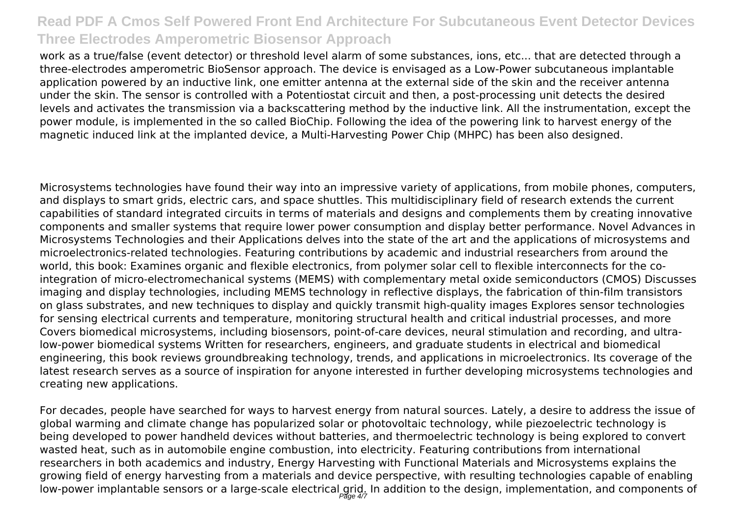work as a true/false (event detector) or threshold level alarm of some substances, ions, etc... that are detected through a three-electrodes amperometric BioSensor approach. The device is envisaged as a Low-Power subcutaneous implantable application powered by an inductive link, one emitter antenna at the external side of the skin and the receiver antenna under the skin. The sensor is controlled with a Potentiostat circuit and then, a post-processing unit detects the desired levels and activates the transmission via a backscattering method by the inductive link. All the instrumentation, except the power module, is implemented in the so called BioChip. Following the idea of the powering link to harvest energy of the magnetic induced link at the implanted device, a Multi-Harvesting Power Chip (MHPC) has been also designed.

Microsystems technologies have found their way into an impressive variety of applications, from mobile phones, computers, and displays to smart grids, electric cars, and space shuttles. This multidisciplinary field of research extends the current capabilities of standard integrated circuits in terms of materials and designs and complements them by creating innovative components and smaller systems that require lower power consumption and display better performance. Novel Advances in Microsystems Technologies and their Applications delves into the state of the art and the applications of microsystems and microelectronics-related technologies. Featuring contributions by academic and industrial researchers from around the world, this book: Examines organic and flexible electronics, from polymer solar cell to flexible interconnects for the cointegration of micro-electromechanical systems (MEMS) with complementary metal oxide semiconductors (CMOS) Discusses imaging and display technologies, including MEMS technology in reflective displays, the fabrication of thin-film transistors on glass substrates, and new techniques to display and quickly transmit high-quality images Explores sensor technologies for sensing electrical currents and temperature, monitoring structural health and critical industrial processes, and more Covers biomedical microsystems, including biosensors, point-of-care devices, neural stimulation and recording, and ultralow-power biomedical systems Written for researchers, engineers, and graduate students in electrical and biomedical engineering, this book reviews groundbreaking technology, trends, and applications in microelectronics. Its coverage of the latest research serves as a source of inspiration for anyone interested in further developing microsystems technologies and creating new applications.

For decades, people have searched for ways to harvest energy from natural sources. Lately, a desire to address the issue of global warming and climate change has popularized solar or photovoltaic technology, while piezoelectric technology is being developed to power handheld devices without batteries, and thermoelectric technology is being explored to convert wasted heat, such as in automobile engine combustion, into electricity. Featuring contributions from international researchers in both academics and industry, Energy Harvesting with Functional Materials and Microsystems explains the growing field of energy harvesting from a materials and device perspective, with resulting technologies capable of enabling low-power implantable sensors or a large-scale electrical grid. In addition to the design, implementation, and components of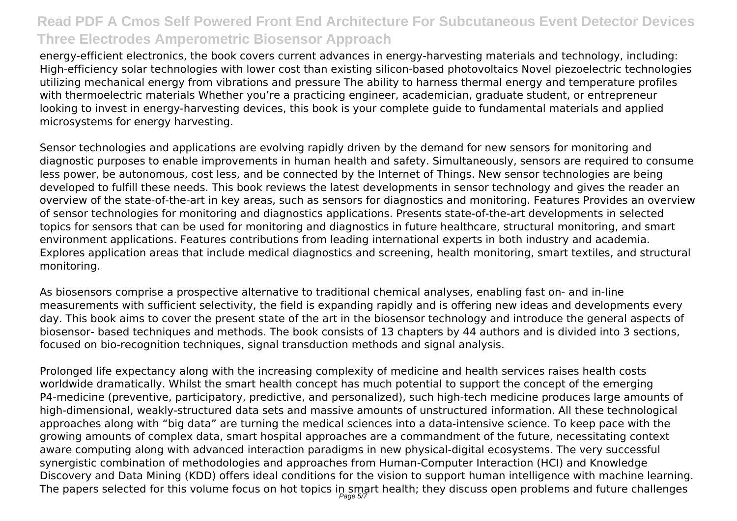energy-efficient electronics, the book covers current advances in energy-harvesting materials and technology, including: High-efficiency solar technologies with lower cost than existing silicon-based photovoltaics Novel piezoelectric technologies utilizing mechanical energy from vibrations and pressure The ability to harness thermal energy and temperature profiles with thermoelectric materials Whether you're a practicing engineer, academician, graduate student, or entrepreneur looking to invest in energy-harvesting devices, this book is your complete guide to fundamental materials and applied microsystems for energy harvesting.

Sensor technologies and applications are evolving rapidly driven by the demand for new sensors for monitoring and diagnostic purposes to enable improvements in human health and safety. Simultaneously, sensors are required to consume less power, be autonomous, cost less, and be connected by the Internet of Things. New sensor technologies are being developed to fulfill these needs. This book reviews the latest developments in sensor technology and gives the reader an overview of the state-of-the-art in key areas, such as sensors for diagnostics and monitoring. Features Provides an overview of sensor technologies for monitoring and diagnostics applications. Presents state-of-the-art developments in selected topics for sensors that can be used for monitoring and diagnostics in future healthcare, structural monitoring, and smart environment applications. Features contributions from leading international experts in both industry and academia. Explores application areas that include medical diagnostics and screening, health monitoring, smart textiles, and structural monitoring.

As biosensors comprise a prospective alternative to traditional chemical analyses, enabling fast on- and in-line measurements with sufficient selectivity, the field is expanding rapidly and is offering new ideas and developments every day. This book aims to cover the present state of the art in the biosensor technology and introduce the general aspects of biosensor- based techniques and methods. The book consists of 13 chapters by 44 authors and is divided into 3 sections, focused on bio-recognition techniques, signal transduction methods and signal analysis.

Prolonged life expectancy along with the increasing complexity of medicine and health services raises health costs worldwide dramatically. Whilst the smart health concept has much potential to support the concept of the emerging P4-medicine (preventive, participatory, predictive, and personalized), such high-tech medicine produces large amounts of high-dimensional, weakly-structured data sets and massive amounts of unstructured information. All these technological approaches along with "big data" are turning the medical sciences into a data-intensive science. To keep pace with the growing amounts of complex data, smart hospital approaches are a commandment of the future, necessitating context aware computing along with advanced interaction paradigms in new physical-digital ecosystems. The very successful synergistic combination of methodologies and approaches from Human-Computer Interaction (HCI) and Knowledge Discovery and Data Mining (KDD) offers ideal conditions for the vision to support human intelligence with machine learning. The papers selected for this volume focus on hot topics in smart health; they discuss open problems and future challenges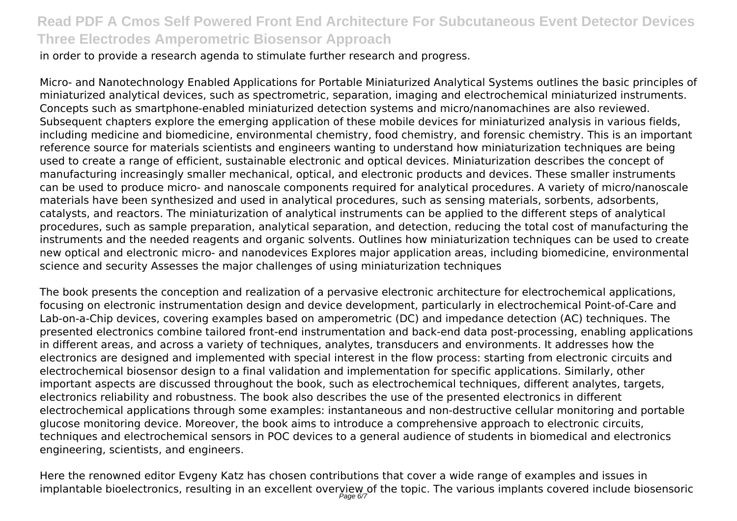in order to provide a research agenda to stimulate further research and progress.

Micro- and Nanotechnology Enabled Applications for Portable Miniaturized Analytical Systems outlines the basic principles of miniaturized analytical devices, such as spectrometric, separation, imaging and electrochemical miniaturized instruments. Concepts such as smartphone-enabled miniaturized detection systems and micro/nanomachines are also reviewed. Subsequent chapters explore the emerging application of these mobile devices for miniaturized analysis in various fields, including medicine and biomedicine, environmental chemistry, food chemistry, and forensic chemistry. This is an important reference source for materials scientists and engineers wanting to understand how miniaturization techniques are being used to create a range of efficient, sustainable electronic and optical devices. Miniaturization describes the concept of manufacturing increasingly smaller mechanical, optical, and electronic products and devices. These smaller instruments can be used to produce micro- and nanoscale components required for analytical procedures. A variety of micro/nanoscale materials have been synthesized and used in analytical procedures, such as sensing materials, sorbents, adsorbents, catalysts, and reactors. The miniaturization of analytical instruments can be applied to the different steps of analytical procedures, such as sample preparation, analytical separation, and detection, reducing the total cost of manufacturing the instruments and the needed reagents and organic solvents. Outlines how miniaturization techniques can be used to create new optical and electronic micro- and nanodevices Explores major application areas, including biomedicine, environmental science and security Assesses the major challenges of using miniaturization techniques

The book presents the conception and realization of a pervasive electronic architecture for electrochemical applications, focusing on electronic instrumentation design and device development, particularly in electrochemical Point-of-Care and Lab-on-a-Chip devices, covering examples based on amperometric (DC) and impedance detection (AC) techniques. The presented electronics combine tailored front-end instrumentation and back-end data post-processing, enabling applications in different areas, and across a variety of techniques, analytes, transducers and environments. It addresses how the electronics are designed and implemented with special interest in the flow process: starting from electronic circuits and electrochemical biosensor design to a final validation and implementation for specific applications. Similarly, other important aspects are discussed throughout the book, such as electrochemical techniques, different analytes, targets, electronics reliability and robustness. The book also describes the use of the presented electronics in different electrochemical applications through some examples: instantaneous and non-destructive cellular monitoring and portable glucose monitoring device. Moreover, the book aims to introduce a comprehensive approach to electronic circuits, techniques and electrochemical sensors in POC devices to a general audience of students in biomedical and electronics engineering, scientists, and engineers.

Here the renowned editor Evgeny Katz has chosen contributions that cover a wide range of examples and issues in implantable bioelectronics, resulting in an excellent overyiew of the topic. The various implants covered include biosensoric